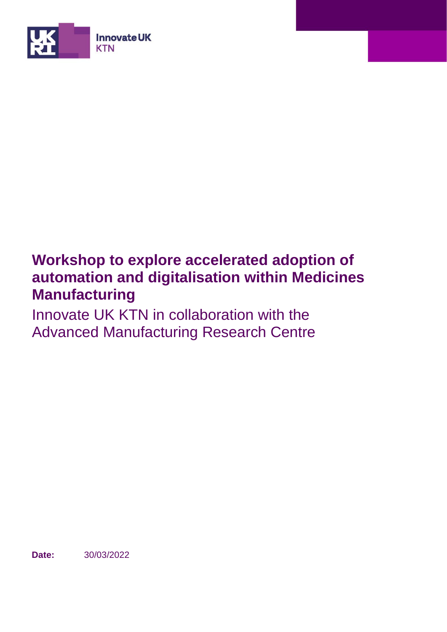

# **Workshop to explore accelerated adoption of automation and digitalisation within Medicines Manufacturing**

Innovate UK KTN in collaboration with the Advanced Manufacturing Research Centre

**Date:** 30/03/2022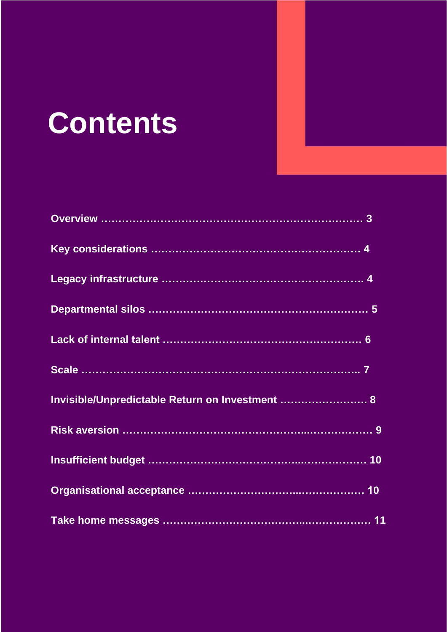# **Contents**

| Invisible/Unpredictable Return on Investment  8 |  |
|-------------------------------------------------|--|
|                                                 |  |
|                                                 |  |
|                                                 |  |
|                                                 |  |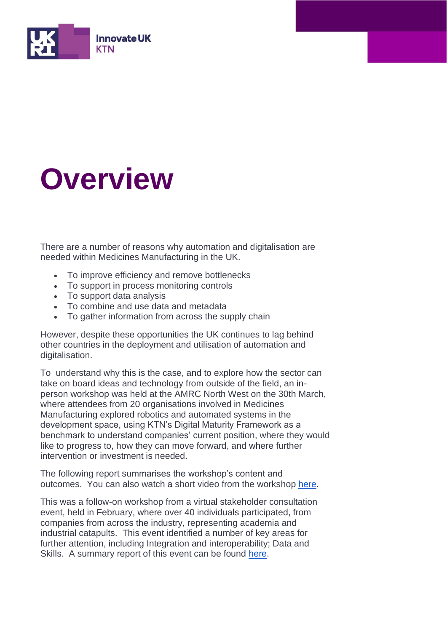

# **Overview**

There are a number of reasons why automation and digitalisation are needed within Medicines Manufacturing in the UK.

- To improve efficiency and remove bottlenecks
- To support in process monitoring controls
- To support data analysis
- To combine and use data and metadata
- To gather information from across the supply chain

However, despite these opportunities the UK continues to lag behind other countries in the deployment and utilisation of automation and digitalisation.

To understand why this is the case, and to explore how the sector can take on board ideas and technology from outside of the field, an inperson workshop was held at the AMRC North West on the 30th March, where attendees from 20 organisations involved in Medicines Manufacturing explored robotics and automated systems in the development space, using KTN's Digital Maturity Framework as a benchmark to understand companies' current position, where they would like to progress to, how they can move forward, and where further intervention or investment is needed.

The following report summarises the workshop's content and outcomes. You can also watch a short video from the workshop [here.](https://vimeo.com/704578471)

This was a follow-on workshop from a virtual stakeholder consultation event, held in February, where over 40 individuals participated, from companies from across the industry, representing academia and industrial catapults. This event identified a number of key areas for further attention, including Integration and interoperability; Data and Skills. A summary report of this event can be found [here.](https://ktn-uk.org/wp-content/uploads/2022/03/Robotics-and-automation-workshop-report.pdf)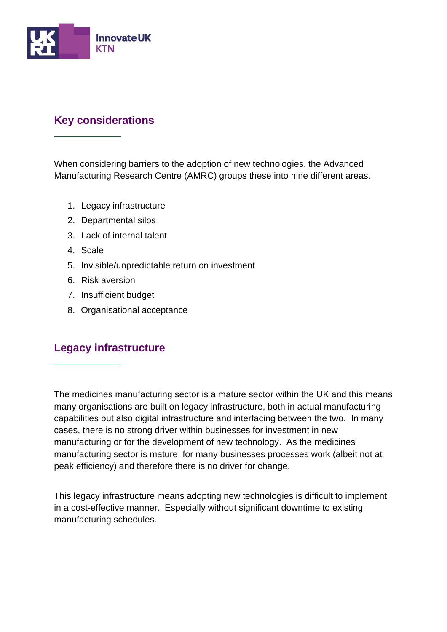

# **Key considerations**

When considering barriers to the adoption of new technologies, the Advanced Manufacturing Research Centre (AMRC) groups these into nine different areas.

- 1. Legacy infrastructure
- 2. Departmental silos
- 3. Lack of internal talent
- 4. Scale
- 5. Invisible/unpredictable return on investment
- 6. Risk aversion
- 7. Insufficient budget
- 8. Organisational acceptance

# **Legacy infrastructure**

The medicines manufacturing sector is a mature sector within the UK and this means many organisations are built on legacy infrastructure, both in actual manufacturing capabilities but also digital infrastructure and interfacing between the two. In many cases, there is no strong driver within businesses for investment in new manufacturing or for the development of new technology. As the medicines manufacturing sector is mature, for many businesses processes work (albeit not at peak efficiency) and therefore there is no driver for change.

This legacy infrastructure means adopting new technologies is difficult to implement in a cost-effective manner. Especially without significant downtime to existing manufacturing schedules.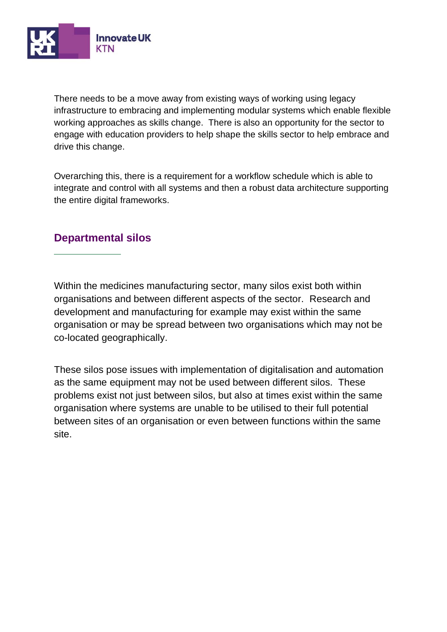

There needs to be a move away from existing ways of working using legacy infrastructure to embracing and implementing modular systems which enable flexible working approaches as skills change. There is also an opportunity for the sector to engage with education providers to help shape the skills sector to help embrace and drive this change.

Overarching this, there is a requirement for a workflow schedule which is able to integrate and control with all systems and then a robust data architecture supporting the entire digital frameworks.

### **Departmental silos**

Within the medicines manufacturing sector, many silos exist both within organisations and between different aspects of the sector. Research and development and manufacturing for example may exist within the same organisation or may be spread between two organisations which may not be co-located geographically.

These silos pose issues with implementation of digitalisation and automation as the same equipment may not be used between different silos. These problems exist not just between silos, but also at times exist within the same organisation where systems are unable to be utilised to their full potential between sites of an organisation or even between functions within the same site.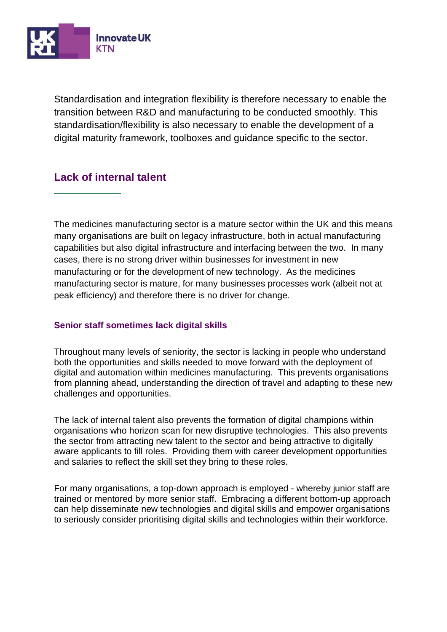

Standardisation and integration flexibility is therefore necessary to enable the transition between R&D and manufacturing to be conducted smoothly. This standardisation/flexibility is also necessary to enable the development of a digital maturity framework, toolboxes and guidance specific to the sector.

# **Lack of internal talent**

The medicines manufacturing sector is a mature sector within the UK and this means many organisations are built on legacy infrastructure, both in actual manufacturing capabilities but also digital infrastructure and interfacing between the two. In many cases, there is no strong driver within businesses for investment in new manufacturing or for the development of new technology. As the medicines manufacturing sector is mature, for many businesses processes work (albeit not at peak efficiency) and therefore there is no driver for change.

#### **Senior staff sometimes lack digital skills**

Throughout many levels of seniority, the sector is lacking in people who understand both the opportunities and skills needed to move forward with the deployment of digital and automation within medicines manufacturing. This prevents organisations from planning ahead, understanding the direction of travel and adapting to these new challenges and opportunities.

The lack of internal talent also prevents the formation of digital champions within organisations who horizon scan for new disruptive technologies. This also prevents the sector from attracting new talent to the sector and being attractive to digitally aware applicants to fill roles. Providing them with career development opportunities and salaries to reflect the skill set they bring to these roles.

For many organisations, a top-down approach is employed - whereby junior staff are trained or mentored by more senior staff. Embracing a different bottom-up approach can help disseminate new technologies and digital skills and empower organisations to seriously consider prioritising digital skills and technologies within their workforce.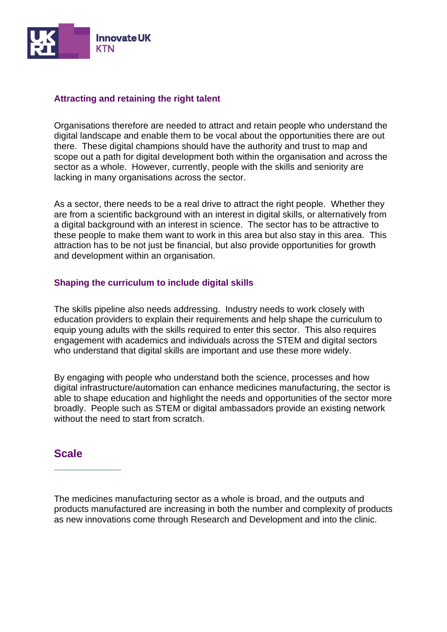

#### **Attracting and retaining the right talent**

Organisations therefore are needed to attract and retain people who understand the digital landscape and enable them to be vocal about the opportunities there are out there. These digital champions should have the authority and trust to map and scope out a path for digital development both within the organisation and across the sector as a whole. However, currently, people with the skills and seniority are lacking in many organisations across the sector.

As a sector, there needs to be a real drive to attract the right people. Whether they are from a scientific background with an interest in digital skills, or alternatively from a digital background with an interest in science. The sector has to be attractive to these people to make them want to work in this area but also stay in this area. This attraction has to be not just be financial, but also provide opportunities for growth and development within an organisation.

#### **Shaping the curriculum to include digital skills**

The skills pipeline also needs addressing. Industry needs to work closely with education providers to explain their requirements and help shape the curriculum to equip young adults with the skills required to enter this sector. This also requires engagement with academics and individuals across the STEM and digital sectors who understand that digital skills are important and use these more widely.

By engaging with people who understand both the science, processes and how digital infrastructure/automation can enhance medicines manufacturing, the sector is able to shape education and highlight the needs and opportunities of the sector more broadly. People such as STEM or digital ambassadors provide an existing network without the need to start from scratch.

#### **Scale**

The medicines manufacturing sector as a whole is broad, and the outputs and products manufactured are increasing in both the number and complexity of products as new innovations come through Research and Development and into the clinic.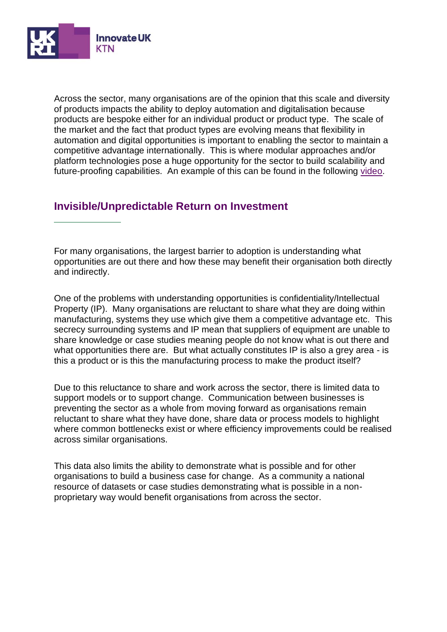

Across the sector, many organisations are of the opinion that this scale and diversity of products impacts the ability to deploy automation and digitalisation because products are bespoke either for an individual product or product type. The scale of the market and the fact that product types are evolving means that flexibility in automation and digital opportunities is important to enabling the sector to maintain a competitive advantage internationally. This is where modular approaches and/or platform technologies pose a huge opportunity for the sector to build scalability and future-proofing capabilities. An example of this can be found in the following [video.](https://www.youtube.com/watch?v=fX1wssRFwaE)

# **Invisible/Unpredictable Return on Investment**

For many organisations, the largest barrier to adoption is understanding what opportunities are out there and how these may benefit their organisation both directly and indirectly.

One of the problems with understanding opportunities is confidentiality/Intellectual Property (IP). Many organisations are reluctant to share what they are doing within manufacturing, systems they use which give them a competitive advantage etc. This secrecy surrounding systems and IP mean that suppliers of equipment are unable to share knowledge or case studies meaning people do not know what is out there and what opportunities there are. But what actually constitutes IP is also a grey area - is this a product or is this the manufacturing process to make the product itself?

Due to this reluctance to share and work across the sector, there is limited data to support models or to support change. Communication between businesses is preventing the sector as a whole from moving forward as organisations remain reluctant to share what they have done, share data or process models to highlight where common bottlenecks exist or where efficiency improvements could be realised across similar organisations.

This data also limits the ability to demonstrate what is possible and for other organisations to build a business case for change. As a community a national resource of datasets or case studies demonstrating what is possible in a nonproprietary way would benefit organisations from across the sector.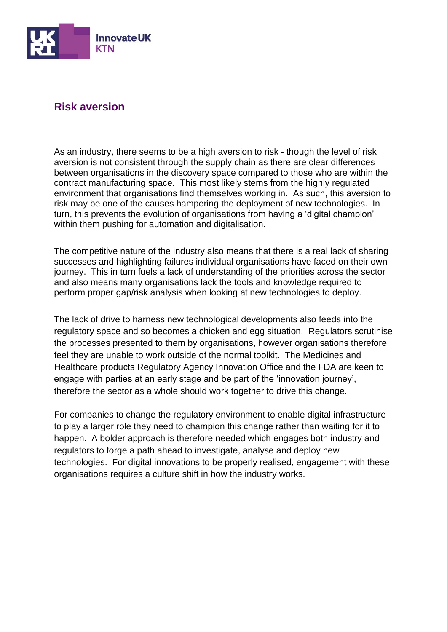

# **Risk aversion**

As an industry, there seems to be a high aversion to risk - though the level of risk aversion is not consistent through the supply chain as there are clear differences between organisations in the discovery space compared to those who are within the contract manufacturing space. This most likely stems from the highly regulated environment that organisations find themselves working in. As such, this aversion to risk may be one of the causes hampering the deployment of new technologies. In turn, this prevents the evolution of organisations from having a 'digital champion' within them pushing for automation and digitalisation.

The competitive nature of the industry also means that there is a real lack of sharing successes and highlighting failures individual organisations have faced on their own journey. This in turn fuels a lack of understanding of the priorities across the sector and also means many organisations lack the tools and knowledge required to perform proper gap/risk analysis when looking at new technologies to deploy.

The lack of drive to harness new technological developments also feeds into the regulatory space and so becomes a chicken and egg situation. Regulators scrutinise the processes presented to them by organisations, however organisations therefore feel they are unable to work outside of the normal toolkit. The Medicines and Healthcare products Regulatory Agency Innovation Office and the FDA are keen to engage with parties at an early stage and be part of the 'innovation journey', therefore the sector as a whole should work together to drive this change.

For companies to change the regulatory environment to enable digital infrastructure to play a larger role they need to champion this change rather than waiting for it to happen. A bolder approach is therefore needed which engages both industry and regulators to forge a path ahead to investigate, analyse and deploy new technologies. For digital innovations to be properly realised, engagement with these organisations requires a culture shift in how the industry works.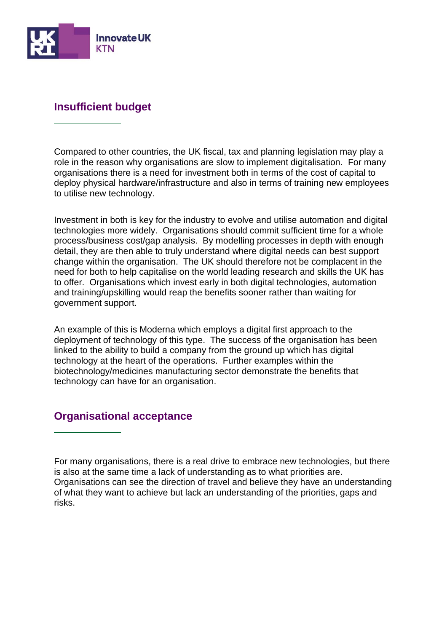

# **Insufficient budget**

Compared to other countries, the UK fiscal, tax and planning legislation may play a role in the reason why organisations are slow to implement digitalisation. For many organisations there is a need for investment both in terms of the cost of capital to deploy physical hardware/infrastructure and also in terms of training new employees to utilise new technology.

Investment in both is key for the industry to evolve and utilise automation and digital technologies more widely. Organisations should commit sufficient time for a whole process/business cost/gap analysis. By modelling processes in depth with enough detail, they are then able to truly understand where digital needs can best support change within the organisation. The UK should therefore not be complacent in the need for both to help capitalise on the world leading research and skills the UK has to offer. Organisations which invest early in both digital technologies, automation and training/upskilling would reap the benefits sooner rather than waiting for government support.

An example of this is Moderna which employs a digital first approach to the deployment of technology of this type. The success of the organisation has been linked to the ability to build a company from the ground up which has digital technology at the heart of the operations. Further examples within the biotechnology/medicines manufacturing sector demonstrate the benefits that technology can have for an organisation.

# **Organisational acceptance**

For many organisations, there is a real drive to embrace new technologies, but there is also at the same time a lack of understanding as to what priorities are. Organisations can see the direction of travel and believe they have an understanding of what they want to achieve but lack an understanding of the priorities, gaps and risks.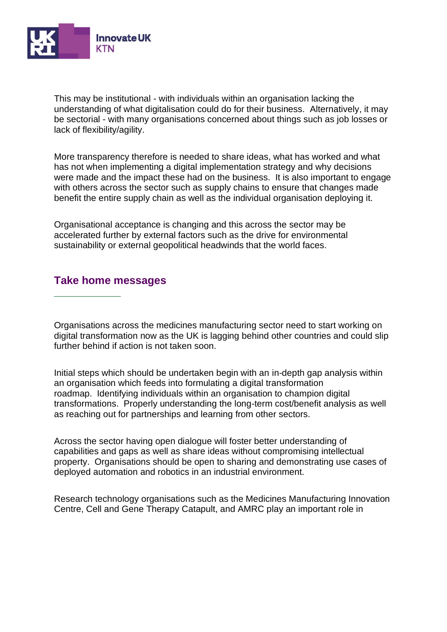

This may be institutional - with individuals within an organisation lacking the understanding of what digitalisation could do for their business. Alternatively, it may be sectorial - with many organisations concerned about things such as job losses or lack of flexibility/agility.

More transparency therefore is needed to share ideas, what has worked and what has not when implementing a digital implementation strategy and why decisions were made and the impact these had on the business. It is also important to engage with others across the sector such as supply chains to ensure that changes made benefit the entire supply chain as well as the individual organisation deploying it.

Organisational acceptance is changing and this across the sector may be accelerated further by external factors such as the drive for environmental sustainability or external geopolitical headwinds that the world faces.

### **Take home messages**

Organisations across the medicines manufacturing sector need to start working on digital transformation now as the UK is lagging behind other countries and could slip further behind if action is not taken soon.

Initial steps which should be undertaken begin with an in-depth gap analysis within an organisation which feeds into formulating a digital transformation roadmap. Identifying individuals within an organisation to champion digital transformations. Properly understanding the long-term cost/benefit analysis as well as reaching out for partnerships and learning from other sectors.

Across the sector having open dialogue will foster better understanding of capabilities and gaps as well as share ideas without compromising intellectual property. Organisations should be open to sharing and demonstrating use cases of deployed automation and robotics in an industrial environment.

Research technology organisations such as the Medicines Manufacturing Innovation Centre, Cell and Gene Therapy Catapult, and AMRC play an important role in